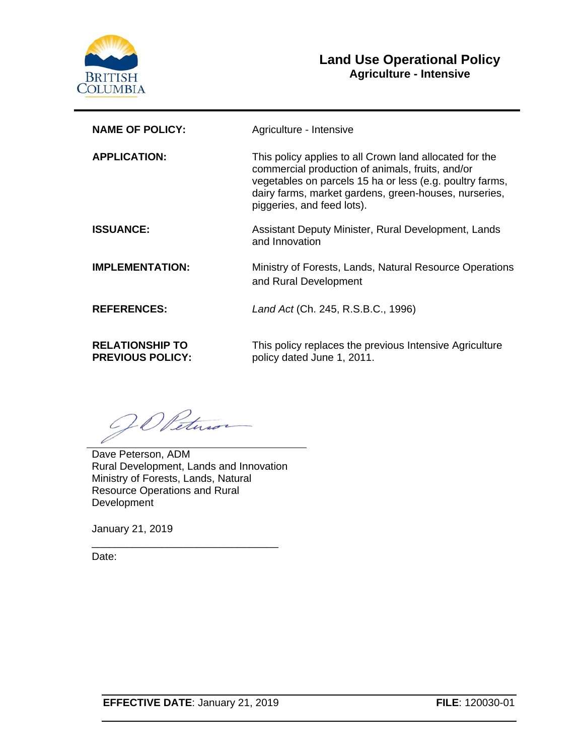

# **Land Use Operational Policy Agriculture - Intensive**

| <b>NAME OF POLICY:</b>                            | Agriculture - Intensive                                                                                                                                                                                                                                        |  |
|---------------------------------------------------|----------------------------------------------------------------------------------------------------------------------------------------------------------------------------------------------------------------------------------------------------------------|--|
| <b>APPLICATION:</b>                               | This policy applies to all Crown land allocated for the<br>commercial production of animals, fruits, and/or<br>vegetables on parcels 15 ha or less (e.g. poultry farms,<br>dairy farms, market gardens, green-houses, nurseries,<br>piggeries, and feed lots). |  |
| <b>ISSUANCE:</b>                                  | Assistant Deputy Minister, Rural Development, Lands<br>and Innovation                                                                                                                                                                                          |  |
| <b>IMPLEMENTATION:</b>                            | Ministry of Forests, Lands, Natural Resource Operations<br>and Rural Development                                                                                                                                                                               |  |
| <b>REFERENCES:</b>                                | Land Act (Ch. 245, R.S.B.C., 1996)                                                                                                                                                                                                                             |  |
| <b>RELATIONSHIP TO</b><br><b>PREVIOUS POLICY:</b> | This policy replaces the previous Intensive Agriculture<br>policy dated June 1, 2011.                                                                                                                                                                          |  |

20 Peter

Dave Peterson, ADM Rural Development, Lands and Innovation Ministry of Forests, Lands, Natural Resource Operations and Rural **Development** 

\_\_\_\_\_\_\_\_\_\_\_\_\_\_\_\_\_\_\_\_\_\_\_\_\_\_\_\_\_\_\_\_

January 21, 2019

Date: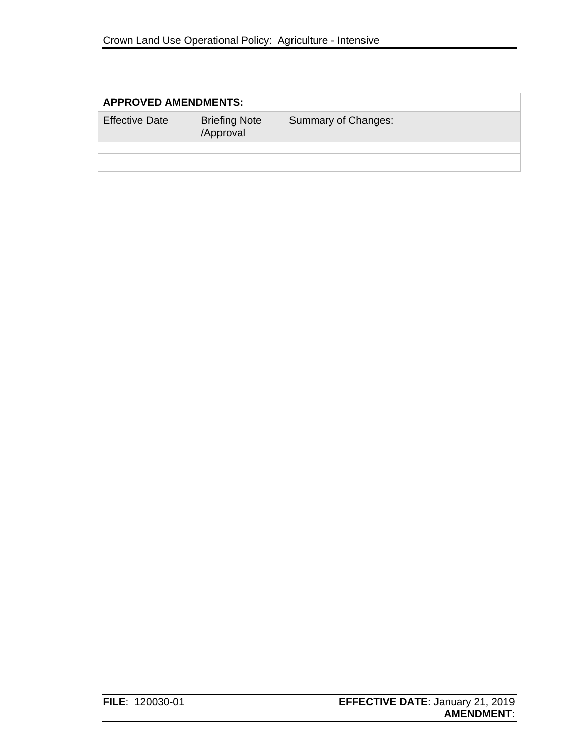| <b>APPROVED AMENDMENTS:</b> |                                   |                     |  |  |
|-----------------------------|-----------------------------------|---------------------|--|--|
| <b>Effective Date</b>       | <b>Briefing Note</b><br>/Approval | Summary of Changes: |  |  |
|                             |                                   |                     |  |  |
|                             |                                   |                     |  |  |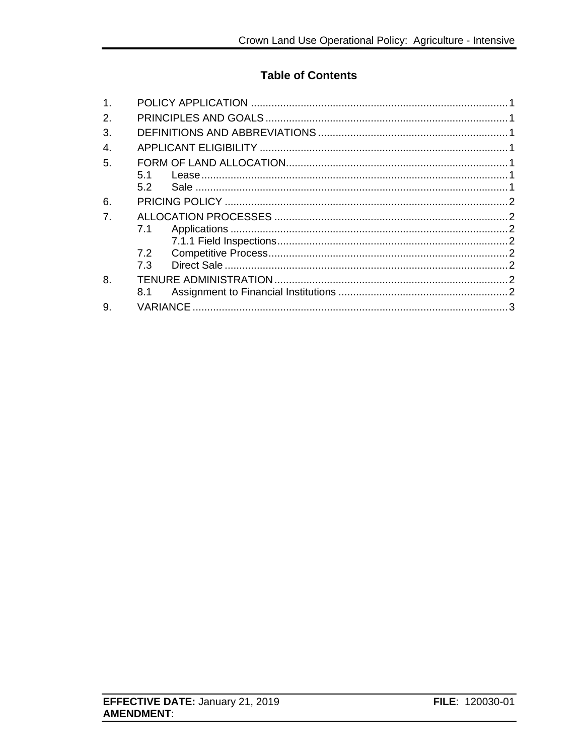# **Table of Contents**

| 1.            |     |  |  |
|---------------|-----|--|--|
| $\mathcal{P}$ |     |  |  |
| 3.            |     |  |  |
| 4.            |     |  |  |
| 5.            |     |  |  |
|               | 5.1 |  |  |
|               | 5.2 |  |  |
| 6.            |     |  |  |
| 7.            |     |  |  |
|               | 7.1 |  |  |
|               |     |  |  |
|               | 7.2 |  |  |
|               | 7.3 |  |  |
| 8.            |     |  |  |
|               | 8.1 |  |  |
| 9.            |     |  |  |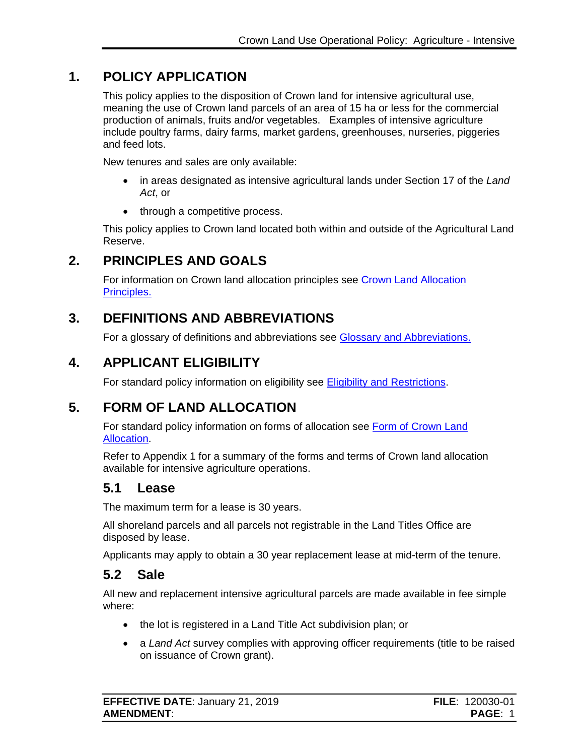# **1. POLICY APPLICATION**

<span id="page-3-0"></span>This policy applies to the disposition of Crown land for intensive agricultural use, meaning the use of Crown land parcels of an area of 15 ha or less for the commercial production of animals, fruits and/or vegetables. Examples of intensive agriculture include poultry farms, dairy farms, market gardens, greenhouses, nurseries, piggeries and feed lots.

New tenures and sales are only available:

- in areas designated as intensive agricultural lands under Section 17 of the *Land Act*, or
- through a competitive process.

This policy applies to Crown land located both within and outside of the Agricultural Land Reserve.

# **2. PRINCIPLES AND GOALS**

<span id="page-3-1"></span>For information on Crown land allocation principles see [Crown Land Allocation](https://www2.gov.bc.ca/assets/gov/farming-natural-resources-and-industry/natural-resource-use/land-water-use/crown-land/allocation_principles.pdf)  [Principles.](https://www2.gov.bc.ca/assets/gov/farming-natural-resources-and-industry/natural-resource-use/land-water-use/crown-land/allocation_principles.pdf)

# **3. DEFINITIONS AND ABBREVIATIONS**

<span id="page-3-2"></span>For a glossary of definitions and abbreviations see [Glossary and Abbreviations.](https://www2.gov.bc.ca/assets/gov/farming-natural-resources-and-industry/natural-resource-use/land-water-use/crown-land/glossary_and_abbreviations.pdf)

# **4. APPLICANT ELIGIBILITY**

<span id="page-3-3"></span>For standard policy information on eligibility see [Eligibility and Restrictions.](http://www2.gov.bc.ca/assets/gov/farming-natural-resources-and-industry/natural-resource-use/land-water-use/crown-land/eligibility.pdf)

# **5. FORM OF LAND ALLOCATION**

<span id="page-3-4"></span>For standard policy information on forms of allocation see [Form of Crown Land](http://www2.gov.bc.ca/assets/gov/farming-natural-resources-and-industry/natural-resource-use/land-water-use/crown-land/form_of_allocation.pdf)  [Allocation.](http://www2.gov.bc.ca/assets/gov/farming-natural-resources-and-industry/natural-resource-use/land-water-use/crown-land/form_of_allocation.pdf)

Refer to Appendix 1 for a summary of the forms and terms of Crown land allocation available for intensive agriculture operations.

#### <span id="page-3-5"></span>**5.1 Lease**

The maximum term for a lease is 30 years.

All shoreland parcels and all parcels not registrable in the Land Titles Office are disposed by lease.

Applicants may apply to obtain a 30 year replacement lease at mid-term of the tenure.

# <span id="page-3-6"></span>**5.2 Sale**

All new and replacement intensive agricultural parcels are made available in fee simple where:

- the lot is registered in a Land Title Act subdivision plan; or
- a *Land Act* survey complies with approving officer requirements (title to be raised on issuance of Crown grant).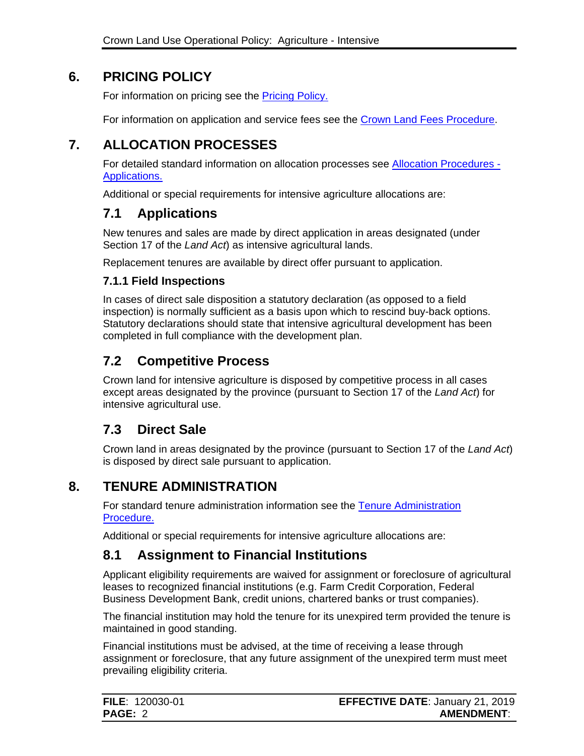# **6. PRICING POLICY**

<span id="page-4-0"></span>For information on pricing see the [Pricing Policy.](https://www2.gov.bc.ca/assets/gov/farming-natural-resources-and-industry/natural-resource-use/land-water-use/crown-land/pricing.pdf#page=53)

For information on application and service fees see the [Crown Land Fees Procedure.](https://www2.gov.bc.ca/assets/gov/farming-natural-resources-and-industry/natural-resource-use/land-water-use/crown-land/fees.pdf)

# **7. ALLOCATION PROCESSES**

<span id="page-4-1"></span>For detailed standard information on allocation processes see [Allocation Procedures -](https://www2.gov.bc.ca/assets/gov/farming-natural-resources-and-industry/natural-resource-use/land-water-use/crown-land/ap_applications.pdf) [Applications.](https://www2.gov.bc.ca/assets/gov/farming-natural-resources-and-industry/natural-resource-use/land-water-use/crown-land/ap_applications.pdf)

Additional or special requirements for intensive agriculture allocations are:

# <span id="page-4-2"></span>**7.1 Applications**

New tenures and sales are made by direct application in areas designated (under Section 17 of the *Land Act*) as intensive agricultural lands.

Replacement tenures are available by direct offer pursuant to application.

#### <span id="page-4-3"></span>**7.1.1 Field Inspections**

In cases of direct sale disposition a statutory declaration (as opposed to a field inspection) is normally sufficient as a basis upon which to rescind buy-back options. Statutory declarations should state that intensive agricultural development has been completed in full compliance with the development plan.

# <span id="page-4-4"></span>**7.2 Competitive Process**

Crown land for intensive agriculture is disposed by competitive process in all cases except areas designated by the province (pursuant to Section 17 of the *Land Act*) for intensive agricultural use.

# <span id="page-4-5"></span>**7.3 Direct Sale**

Crown land in areas designated by the province (pursuant to Section 17 of the *Land Act*) is disposed by direct sale pursuant to application.

#### **8. TENURE ADMINISTRATION**

<span id="page-4-6"></span>For standard tenure administration information see the [Tenure Administration](https://www2.gov.bc.ca/assets/gov/farming-natural-resources-and-industry/natural-resource-use/land-water-use/crown-land/ta_general.pdf)  [Procedure.](https://www2.gov.bc.ca/assets/gov/farming-natural-resources-and-industry/natural-resource-use/land-water-use/crown-land/ta_general.pdf)

Additional or special requirements for intensive agriculture allocations are:

# <span id="page-4-7"></span>**8.1 Assignment to Financial Institutions**

Applicant eligibility requirements are waived for assignment or foreclosure of agricultural leases to recognized financial institutions (e.g. Farm Credit Corporation, Federal Business Development Bank, credit unions, chartered banks or trust companies).

The financial institution may hold the tenure for its unexpired term provided the tenure is maintained in good standing.

Financial institutions must be advised, at the time of receiving a lease through assignment or foreclosure, that any future assignment of the unexpired term must meet prevailing eligibility criteria.

| <b>FILE: 120030-01</b> | <b>EFFECTIVE DATE: January 21, 2019</b> |
|------------------------|-----------------------------------------|
| <b>PAGE: 2</b>         | <b>AMENDMENT:</b>                       |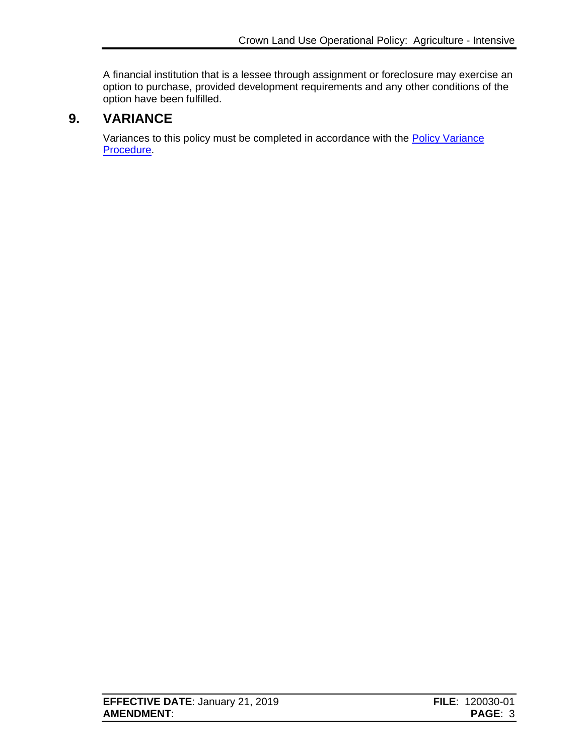A financial institution that is a lessee through assignment or foreclosure may exercise an option to purchase, provided development requirements and any other conditions of the option have been fulfilled.

# **9. VARIANCE**

<span id="page-5-0"></span>Variances to this policy must be completed in accordance with the **Policy Variance** [Procedure.](http://www2.gov.bc.ca/assets/gov/farming-natural-resources-and-industry/natural-resource-use/land-water-use/crown-land/variance.pdf)